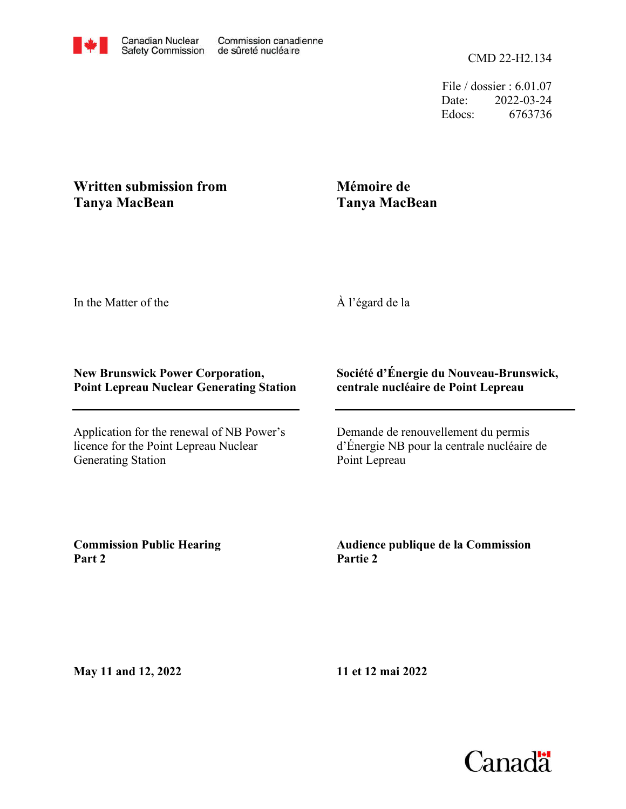File / dossier : 6.01.07 Date: 2022-03-24 Edocs: 6763736

## **Written submission from Tanya MacBean**

## **Mémoire de Tanya MacBean**

In the Matter of the

À l'égard de la

## **New Brunswick Power Corporation, Point Lepreau Nuclear Generating Station**

Application for the renewal of NB Power's licence for the Point Lepreau Nuclear Generating Station

## **Société d'Énergie du Nouveau-Brunswick, centrale nucléaire de Point Lepreau**

Demande de renouvellement du permis d'Énergie NB pour la centrale nucléaire de Point Lepreau

**Commission Public Hearing Part 2**

**Audience publique de la Commission Partie 2**

**May 11 and 12, 2022**

**11 et 12 mai 2022**